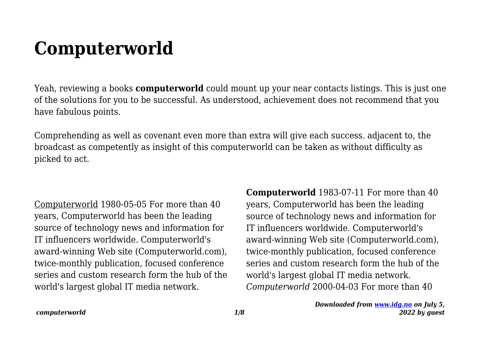## **Computerworld**

Yeah, reviewing a books **computerworld** could mount up your near contacts listings. This is just one of the solutions for you to be successful. As understood, achievement does not recommend that you have fabulous points.

Comprehending as well as covenant even more than extra will give each success. adjacent to, the broadcast as competently as insight of this computerworld can be taken as without difficulty as picked to act.

Computerworld 1980-05-05 For more than 40 years, Computerworld has been the leading source of technology news and information for IT influencers worldwide. Computerworld's award-winning Web site (Computerworld.com), twice-monthly publication, focused conference series and custom research form the hub of the world's largest global IT media network.

**Computerworld** 1983-07-11 For more than 40 years, Computerworld has been the leading source of technology news and information for IT influencers worldwide. Computerworld's award-winning Web site (Computerworld.com), twice-monthly publication, focused conference series and custom research form the hub of the world's largest global IT media network. *Computerworld* 2000-04-03 For more than 40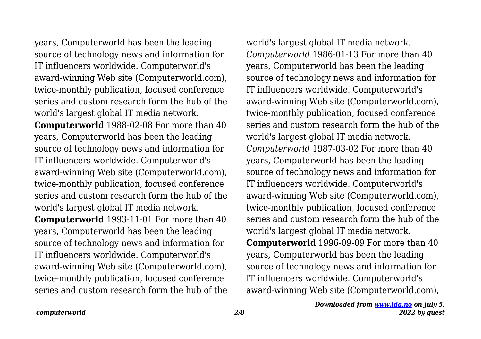years, Computerworld has been the leading source of technology news and information for IT influencers worldwide. Computerworld's award-winning Web site (Computerworld.com), twice-monthly publication, focused conference series and custom research form the hub of the world's largest global IT media network. **Computerworld** 1988-02-08 For more than 40 years, Computerworld has been the leading source of technology news and information for IT influencers worldwide. Computerworld's award-winning Web site (Computerworld.com), twice-monthly publication, focused conference series and custom research form the hub of the world's largest global IT media network. **Computerworld** 1993-11-01 For more than 40 years, Computerworld has been the leading source of technology news and information for IT influencers worldwide. Computerworld's award-winning Web site (Computerworld.com), twice-monthly publication, focused conference series and custom research form the hub of the world's largest global IT media network. *Computerworld* 1986-01-13 For more than 40 years, Computerworld has been the leading source of technology news and information for IT influencers worldwide. Computerworld's award-winning Web site (Computerworld.com), twice-monthly publication, focused conference series and custom research form the hub of the world's largest global IT media network. *Computerworld* 1987-03-02 For more than 40 years, Computerworld has been the leading source of technology news and information for IT influencers worldwide. Computerworld's award-winning Web site (Computerworld.com), twice-monthly publication, focused conference series and custom research form the hub of the world's largest global IT media network. **Computerworld** 1996-09-09 For more than 40 years, Computerworld has been the leading source of technology news and information for IT influencers worldwide. Computerworld's award-winning Web site (Computerworld.com),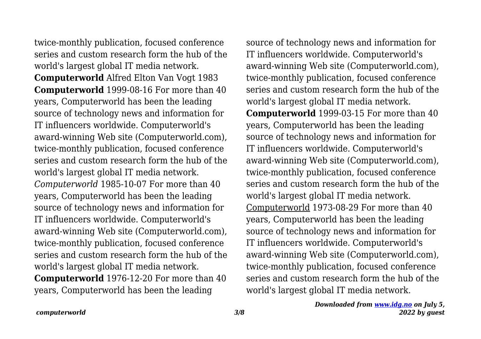twice-monthly publication, focused conference series and custom research form the hub of the world's largest global IT media network. **Computerworld** Alfred Elton Van Vogt 1983 **Computerworld** 1999-08-16 For more than 40 years, Computerworld has been the leading source of technology news and information for IT influencers worldwide. Computerworld's award-winning Web site (Computerworld.com), twice-monthly publication, focused conference series and custom research form the hub of the world's largest global IT media network. *Computerworld* 1985-10-07 For more than 40 years, Computerworld has been the leading source of technology news and information for IT influencers worldwide. Computerworld's award-winning Web site (Computerworld.com), twice-monthly publication, focused conference series and custom research form the hub of the world's largest global IT media network. **Computerworld** 1976-12-20 For more than 40 years, Computerworld has been the leading

source of technology news and information for IT influencers worldwide. Computerworld's award-winning Web site (Computerworld.com), twice-monthly publication, focused conference series and custom research form the hub of the world's largest global IT media network. **Computerworld** 1999-03-15 For more than 40 years, Computerworld has been the leading source of technology news and information for IT influencers worldwide. Computerworld's award-winning Web site (Computerworld.com), twice-monthly publication, focused conference series and custom research form the hub of the world's largest global IT media network. Computerworld 1973-08-29 For more than 40 years, Computerworld has been the leading source of technology news and information for IT influencers worldwide. Computerworld's award-winning Web site (Computerworld.com), twice-monthly publication, focused conference series and custom research form the hub of the world's largest global IT media network.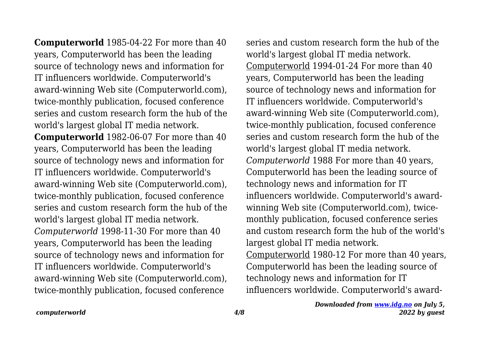**Computerworld** 1985-04-22 For more than 40 years, Computerworld has been the leading source of technology news and information for IT influencers worldwide. Computerworld's award-winning Web site (Computerworld.com), twice-monthly publication, focused conference series and custom research form the hub of the world's largest global IT media network. **Computerworld** 1982-06-07 For more than 40 years, Computerworld has been the leading source of technology news and information for IT influencers worldwide. Computerworld's award-winning Web site (Computerworld.com), twice-monthly publication, focused conference series and custom research form the hub of the world's largest global IT media network. *Computerworld* 1998-11-30 For more than 40 years, Computerworld has been the leading source of technology news and information for IT influencers worldwide. Computerworld's award-winning Web site (Computerworld.com), twice-monthly publication, focused conference

series and custom research form the hub of the world's largest global IT media network. Computerworld 1994-01-24 For more than 40 years, Computerworld has been the leading source of technology news and information for IT influencers worldwide. Computerworld's award-winning Web site (Computerworld.com), twice-monthly publication, focused conference series and custom research form the hub of the world's largest global IT media network. *Computerworld* 1988 For more than 40 years, Computerworld has been the leading source of technology news and information for IT influencers worldwide. Computerworld's awardwinning Web site (Computerworld.com), twicemonthly publication, focused conference series and custom research form the hub of the world's largest global IT media network. Computerworld 1980-12 For more than 40 years, Computerworld has been the leading source of technology news and information for IT influencers worldwide. Computerworld's award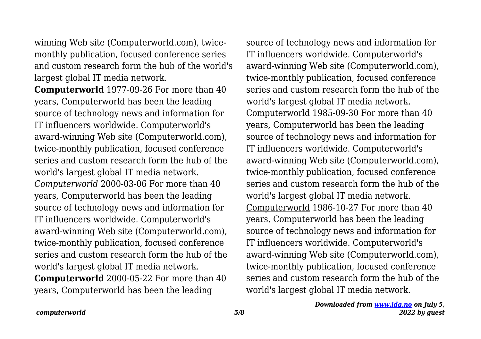winning Web site (Computerworld.com), twicemonthly publication, focused conference series and custom research form the hub of the world's largest global IT media network.

**Computerworld** 1977-09-26 For more than 40 years, Computerworld has been the leading source of technology news and information for IT influencers worldwide. Computerworld's award-winning Web site (Computerworld.com), twice-monthly publication, focused conference series and custom research form the hub of the world's largest global IT media network. *Computerworld* 2000-03-06 For more than 40 years, Computerworld has been the leading source of technology news and information for IT influencers worldwide. Computerworld's award-winning Web site (Computerworld.com), twice-monthly publication, focused conference series and custom research form the hub of the world's largest global IT media network. **Computerworld** 2000-05-22 For more than 40 years, Computerworld has been the leading

source of technology news and information for IT influencers worldwide. Computerworld's award-winning Web site (Computerworld.com), twice-monthly publication, focused conference series and custom research form the hub of the world's largest global IT media network. Computerworld 1985-09-30 For more than 40 years, Computerworld has been the leading source of technology news and information for IT influencers worldwide. Computerworld's award-winning Web site (Computerworld.com), twice-monthly publication, focused conference series and custom research form the hub of the world's largest global IT media network. Computerworld 1986-10-27 For more than 40 years, Computerworld has been the leading source of technology news and information for IT influencers worldwide. Computerworld's award-winning Web site (Computerworld.com), twice-monthly publication, focused conference series and custom research form the hub of the world's largest global IT media network.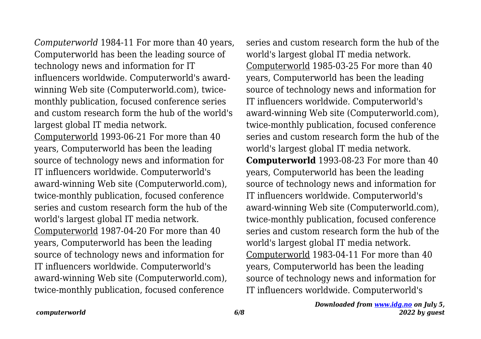*Computerworld* 1984-11 For more than 40 years, Computerworld has been the leading source of technology news and information for IT influencers worldwide. Computerworld's awardwinning Web site (Computerworld.com), twicemonthly publication, focused conference series and custom research form the hub of the world's largest global IT media network.

Computerworld 1993-06-21 For more than 40 years, Computerworld has been the leading source of technology news and information for IT influencers worldwide. Computerworld's award-winning Web site (Computerworld.com), twice-monthly publication, focused conference series and custom research form the hub of the world's largest global IT media network. Computerworld 1987-04-20 For more than 40 years, Computerworld has been the leading source of technology news and information for IT influencers worldwide. Computerworld's award-winning Web site (Computerworld.com), twice-monthly publication, focused conference

series and custom research form the hub of the world's largest global IT media network. Computerworld 1985-03-25 For more than 40 years, Computerworld has been the leading source of technology news and information for IT influencers worldwide. Computerworld's award-winning Web site (Computerworld.com), twice-monthly publication, focused conference series and custom research form the hub of the world's largest global IT media network. **Computerworld** 1993-08-23 For more than 40 years, Computerworld has been the leading source of technology news and information for IT influencers worldwide. Computerworld's award-winning Web site (Computerworld.com), twice-monthly publication, focused conference series and custom research form the hub of the world's largest global IT media network. Computerworld 1983-04-11 For more than 40 years, Computerworld has been the leading source of technology news and information for IT influencers worldwide. Computerworld's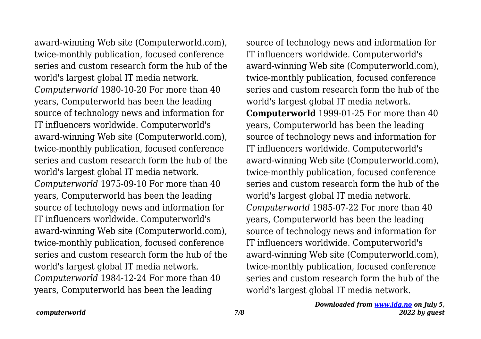award-winning Web site (Computerworld.com), twice-monthly publication, focused conference series and custom research form the hub of the world's largest global IT media network. *Computerworld* 1980-10-20 For more than 40 years, Computerworld has been the leading source of technology news and information for IT influencers worldwide. Computerworld's award-winning Web site (Computerworld.com), twice-monthly publication, focused conference series and custom research form the hub of the world's largest global IT media network. *Computerworld* 1975-09-10 For more than 40 years, Computerworld has been the leading source of technology news and information for IT influencers worldwide. Computerworld's award-winning Web site (Computerworld.com), twice-monthly publication, focused conference series and custom research form the hub of the world's largest global IT media network. *Computerworld* 1984-12-24 For more than 40 years, Computerworld has been the leading

source of technology news and information for IT influencers worldwide. Computerworld's award-winning Web site (Computerworld.com), twice-monthly publication, focused conference series and custom research form the hub of the world's largest global IT media network. **Computerworld** 1999-01-25 For more than 40 years, Computerworld has been the leading source of technology news and information for IT influencers worldwide. Computerworld's award-winning Web site (Computerworld.com), twice-monthly publication, focused conference series and custom research form the hub of the world's largest global IT media network. *Computerworld* 1985-07-22 For more than 40 years, Computerworld has been the leading source of technology news and information for IT influencers worldwide. Computerworld's award-winning Web site (Computerworld.com), twice-monthly publication, focused conference series and custom research form the hub of the world's largest global IT media network.